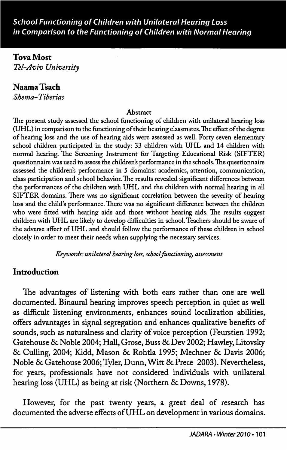### School Functioning of Children with Unilateral Hearing Loss in Comparison to the Functioning of Children with Normal Hearing

Tova Most Tel-Aviv University

NaamaTsach Shema- Tiberias

#### Abstract

The present study assessed the school functioning of children with unilateral hearing loss (UHL) in comparison to the functioning of their hearing classmates.The effect of the degree of hearing loss and the use of hearing aids were assessed as well. Forty seven elementary school children participated in the study: 33 children with UHL and 14 children with normal hearing. The Screening Instrument for Targeting Educational Risk (SIFTER) questionnaire was used to assess the children's performance in the schools. The questionnaire assessed the children's performance in 5 domains: academics, attention, communication, class participation and school behavior. The results revealed significant differences between the performances of the children with UHL and the children with normal hearing in all SIFTER domains. There was no significant correlation between the severity of hearing loss and the child's performance. There was no significant difference between the children who were fitted with hearing aids and those without hearing aids. The results suggest children with UHL are likely to develop difficulties in school. Teachers should be aware of the adverse affect of UHL and should follow the performance of these children in school closely in order to meet their needs when supplying the necessary services.

Keywords: unilateral hearing loss, school functioning, assessment

### Introduction

The advantages of listening with both ears rather than one are well documented. Binaural hearing improves speech perception in quiet as well as difficult listening environments, enhances sound localization abilities, offers advantages in signal segregation and enhances quafitative benefits of sounds, such as naturalness and clarity of voice perception (Feurstien 1992; Gatehouse & Noble 2004; Hall, Grose, Buss & Dev 2002; Hawley, Litovsky & Culling, 2004; Kidd, Mason & Rohtla 1995; Mechner & Davis 2006; Noble & Gatehouse 2006; Tyler, Dunn, Witt & Prece 2003). Nevertheless, for years, professionals have not considered individuals with unilateral hearing loss (UHL) as being at risk (Northern & Downs, 1978).

However, for the past twenty years, a great deal of research has documented the adverse effects of UHL on development in various domains.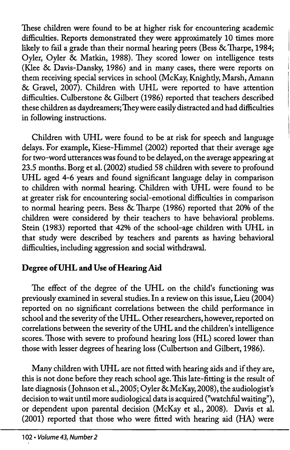These children were found to be at higher risk for encountering academic difficulties. Reports demonstrated they were approximately 10 times more likely to fail a grade than their normal hearing peers (Bess & Tharpe, 1984; Oyler, Oyler & Matkin, 1988). They scored lower on intelligence tests (Klee 8c Davis-Dansky, 1986) and in many cases, there were reports on them receiving special services in school (McKay, Knightly, Marsh, Amann 8c Gravel, 2007). Children with UHL were reported to have attention difficulties. Culberstone & Gilbert (1986) reported that teachers described these children as daydreamers; They were easily distracted and had difficulties in following instructions.

Children with UHL were found to be at risk for speech and language delays. For example, Kiese-Himmel (2002) reported that their average age for two-word utterances was found to be delayed, on the average appearing at 23.5 months. Borg et al. (2002) studied 58 children with severe to profound UHL aged 4-6 years and found significant language delay in comparison to children with normal hearing. Children with UHL were found to be at greater risk for encountering social-emotional difficulties in comparison to normal hearing peers. Bess & Tharpe (1986) reported that 20% of the children were considered by their teachers to have behavioral problems. Stein (1983) reported that 42% of the school-age children with UHL in that study were described by teachers and parents as having behavioral difficulties, including aggression and social withdrawal.

# Degree of UHL and Use of Hearing Aid

The effect of the degree of the UHL on the child's functioning was previously examined in several studies. In a review on this issue. Lieu (2004) reported on no significant correlations between the child performance in school and the severity of the UHL. Other researchers, however, reported on correlations between the severity of the UHL and the children's intelligence scores. Those with severe to profound hearing loss (HL) scored lower than those with lesser degrees of hearing loss (Culbertson and Gilbert, 1986).

Many children with UHL are not fitted with hearing aids and if they are, this is not done before they reach school age. This late-fitting is the result of late diagnosis (Johnson et al., 2005; Oyler & McKay, 2008), the audiologist's decision to wait until more audiological data is acquired ("watchful waiting"), or dependent upon parental decision (McKay et al., 2008). Davis et al. (2001) reported that those who were fitted with hearing aid (HA) were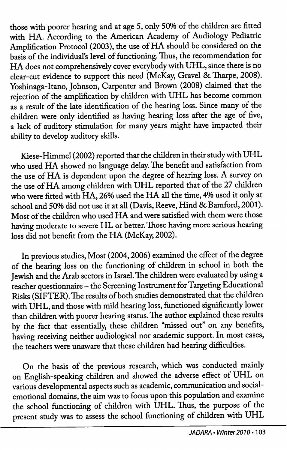those with poorer hearing and at age 5, only 50% of the children are fitted with HA. According to the American Academy of Audiology Pediatric Amplification Protocol (2003), the use of HA should be considered on the basis of the individual's level of functioning. Thus, the recommendation for HA does not comprehensively cover everybody with UHL, since there is no clear-cut evidence to support this need (McKay, Gravel & Tharpe, 2008). Yoshinaga-Itano, Johnson, Carpenter and Brovm (2008) claimed that the rejection of the amplification by children with UHL has become common as a result of the late identification of the hearing loss. Since many of the children were only identified as having hearing loss after the age of five, a lack of auditory stimulation for many years might have impacted their ability to develop auditory skills.

Kiese-Himmel (2002) reported that the children in their study with UHL who used HA showed no language delay. The benefit and satisfaction from the use of HA is dependent upon the degree of hearing loss. A survey on the use of HA among children with UHL reported that of the 27 children who were fitted with HA, 26% used the HA all the time, 4% used it only at school and 50% did not use it at all (Davis, Reeve, Hind & Bamford, 2001). Most of the children who used HA and were satisfied with them were those having moderate to severe HL or better. Those having more serious hearing loss did not benefit from the HA (McKay, 2002).

In previous studies. Most (2004,2006) examined the effect of the degree of the hearing loss on the functioning of children in school in both the Jewish and the Arab sectors in Israel. The children were evaluated by using a teacher questionnaire - the Screening Instrument for Targeting Educational Risks (SIFTER). The results of both studies demonstrated that the children with UHL, and those with mild hearing loss, functioned significantiy lower than children with poorer hearing status. The author explained these results by the fact that essentially, these children "missed out" on any benefits, having receiving neither audiological nor academic support. In most cases, the teachers were unaware that these children had hearing difficulties.

On the basis of the previous research, which was conducted mainly on English-speaking children and showed the adverse effect of UHL on various developmental aspects such as academic, communication and socialemotional domains, the aim was to focus upon this population and examine the school functioning of children with UHL. Thus, the purpose of the present study was to assess the school functioning of children with UHL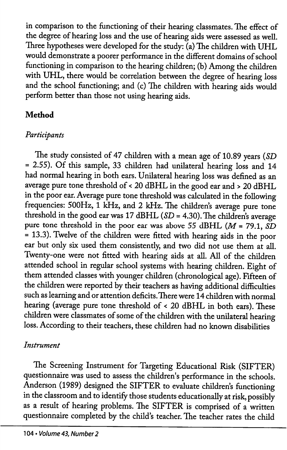in comparison to the functioning of their hearing classmates. The effect of the degree of hearing loss and the use of hearing aids were assessed as well. Three hypotheses were developed for the study: (a) The children with UHL would demonstrate a poorer performance in the different domains of school functioning in comparison to the hearing children; (b) Among the children with UHL, there would be correlation between the degree of hearing loss and the school functioning; and (c) The children with hearing aids would perform better than those not using hearing aids.

# Method

## Participants

The study consisted of 47 children with a mean age of 10.89 years (SD = 2.55). Of this sample, 33 children had unilateral hearing loss and 14 had normal hearing in both ears. Unilateral hearing loss was defined as an average pure tone threshold of < 20 dBHL in the good ear and > 20 dBHL in the poor ear. Average pure tone threshold was calculated in the following frequencies: 500Hz, 1 kHz, and 2 kHz. The children's average pure tone threshold in the good ear was 17 dBHL  $(SD = 4.30)$ . The children's average pure tone threshold in the poor ear was above 55 dBHL ( $M = 79.1$ , SD = 13.3). Twelve of the children were fitted with hearing aids in the poor ear but only six used them consistently, and two did not use them at all. Twenty-one were not fitted with hearing aids at all. All of the children attended school in regular school systems with hearing children. Eight of them attended classes with younger children (chronological age). Fifteen of the children were reported by their teachers as having additional difficulties such as learning and or attention deficits.There were 14 children with normal hearing (average pure tone threshold of < 20 dBHL in both ears). These children were classmates of some of the children with the unilateral hearing loss. According to their teachers, these children had no known disabilities

# Instrument

The Screening Instrument for Targeting Educational Risk (SIFTER) questionnaire was used to assess the children's performance in the schools. Anderson (1989) designed the SIFTER to evaluate children's functioning in the classroom and to identify those students educationally at risk, possibly as a result of hearing problems. The SIFTER is comprised of a written questionnaire completed by the child's teacher. The teacher rates the child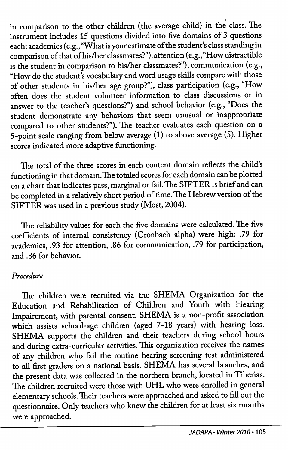in comparison to the other children (the average child) in the class. The instrument includes 15 questions divided into five domains of 3 questions each: academics (e.g.,"What is your estimate of the student's class standing in comparison of that of his/her classmates?"), attention (e.g.,"How distractible is the student in comparison to his/her classmates?"), communication (e.g., "How do the student's vocabulary and word usage skills compare with those of other students in his/her age group?"), class participation (e.g., "How often does the student volunteer information to class discussions or in answer to the teacher's questions?") and school behavior (e.g., "Does the student demonstrate any behaviors that seem unusual or inappropriate compared to other students?"). The teacher evaluates each question on a 5-point scale ranging from below average (1) to above average (5). Higher scores indicated more adaptive functioning.

The total of the three scores in each content domain reflects the child's functioning in that domain. The totaled scores for each domain can be plotted on a chart that indicates pass, marginal or fail. The SIFTER is brief and can be completed in a relatively short period of time. The Hebrew version of the SIFTER was used in a previous study (Most, 2004).

The reliability values for each the five domains were calculated. The five coefficients of internal consistency (Cronbach alpha) were high: .79 for academics, .93 for attention, .86 for communication, .79 for participation, and .86 for behavior.

#### Procedure

The children were recruited via the SHEMA Organization for the Education and Rehabilitation of Children and Youth with Hearing Impairement, with parental consent. SHEMA is a non-profit association which assists school-age children (aged 7-18 years) with hearing loss. SHEMA supports the children and their teachers during school hours and during extra-curricular activities. This organization receives the names of any children who fail the routine hearing screening test administered to all first graders on a national basis. SHEMA has several branches, and the present data was collected in the northern branch, located in Tiberias. The children recruited were those with UHL who were enrolled in general elementary schools.Their teachers were approached and asked to fiU out the questionnaire. Only teachers who knew the children for at least six months were approached.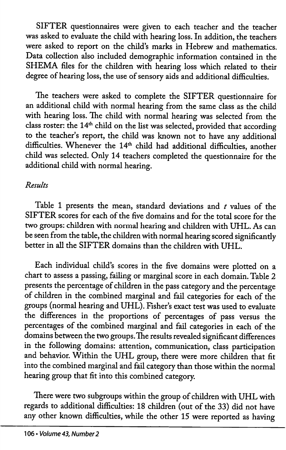SIFTER questionnaires were given to each teacher and the teacher was asked to evaluate the child with hearing loss. In addition, the teachers were asked to report on the child's marks in Hebrew and mathematics. Data collection also included demographic information contained in the SHEMA files for the children with hearing loss which related to their degree of hearing loss, the use of sensory aids and additional difficulties.

The teachers were asked to complete the SIFTER questionnaire for an additional child with normal hearing from the same class as the child with hearing loss. The child with normal hearing was selected from the class roster: the 14\* child on the list was selected, provided that according to the teacher's report, the child was known not to have any additional difficulties. Whenever the 14<sup>th</sup> child had additional difficulties, another child was selected. Only 14 teachers completed the questionnaire for the additional child with normal hearing.

#### Results

Table 1 presents the mean, standard deviations and  $t$  values of the SIFTER scores for each of the five domains and for the total score for the two groups: children with normal hearing and children with UHL. As can be seen from the table, the children with normal hearing scored significantly better in all the SIFTER domains than the children with UHL.

Each individual child's scores in the five domains were plotted on a chart to assess a passing, failing or marginal score in each domain. Table 2 presents the percentage of children in the pass category and the percentage of children in the combined marginal and fail categories for each of the groups (normal hearing and UHL). Fisher's exact test was used to evaluate the differences in the proportions of percentages of pass versus the percentages of the combined marginal and fail categories in each of the domains between the two groups.The results revealed significant differences in the following domains: attention, communication, class participation and behavior. Within the UHL group, there were more children that fit into the combined marginal and fail category than those within the normal hearing group that fit into this combined category.

There were two subgroups within the group of children with UHL with regards to additional difficulties: 18 children (out of the 33) did not have any other known difficulties, while the other 15 were reported as having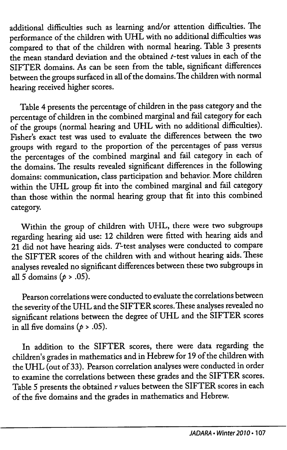additional difficulties such as learning and/or attention difficulties. The performance of the children with UHL with no additional difficulties was compared to that of the children with normal hearing. Table 3 presents the mean standard deviation and the obtained *t*-test values in each of the SIFTER domains. As can be seen from the table, significant differences between the groups surfaced in all of the domains.The children with normal hearing received higher scores.

Table 4 presents the percentage of children in the pass category and the percentage of children in the combined marginal and fail category for each of the groups (normal hearing and UHL with no additional difficulties). Fisher's exact test was used to evaluate the differences between the two groups with regard to the proportion of the percentages of pass versus the percentages of the combined marginal and fail category in each of the domains. The results revealed significant differences in the following domains: communication, class participation and behavior. More children within the UHL group fit into the combined marginal and fail category than those within the normal hearing group that fit into this combined category.

Within the group of children with UHL, there were two subgroups regarding hearing aid use: 12 children were fitted with hearing aids and 21 did not have hearing aids. T-test analyses were conducted to compare the SIFTER scores of the children with and without hearing aids. These analyses revealed no significant differences between these two subgroups in all 5 domains ( $p > .05$ ).

Pearson correlations were conducted to evaluate the correlations between the severity of the UHL and the SIFTER scores. These analyses revealed no significant relations between the degree of UHL and the SIFTER scores in all five domains ( $p > .05$ ).

In addition to the SIFTER scores, there were data regarding the children's grades in mathematics and in Hebrew for 19 of the children with the UHL (out of 33). Pearson correlation analyses were conducted in order to examine the correlations between these grades and the SIFTER scores. Table 5 presents the obtained  $r$  values between the SIFTER scores in each of the five domains and the grades in mathematics and Hebrew.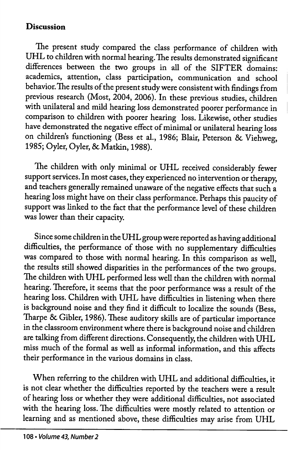### Discussion

The present study compared the class performance of children with UHL to children with normal hearing. The results demonstrated significant differences between the two groups in all of the SIFTER domains: academics, attention, class participation, communication and school behavior. The results of the present study were consistent with findings from previous research (Most, 2004, 2006). In these previous studies, children with unilateral and mild hearing loss demonstrated poorer performance in comparison to children with poorer hearing loss. Likewise, other studies have demonstrated the negative effect of minimal or unilateral hearing loss on children's functioning (Bess et al., 1986; Blair, Peterson 8c Viehweg, 1985; Oyler, Oyler, 8cMatkin, 1988).

The children with only minimal or UHL received considerably fewer support services. In most cases, they experienced no intervention or therapy, and teachers generally remained unaware of the negative effects that such a hearing loss might have on their class performance. Perhaps this paucity of support was linked to the fact that the performance level of these children was lower than their capacity.

Since some children in the UHL group were reported as having additional difficulties, the performance of those with no supplementary difficulties was compared to those with normal hearing. In this comparison as well, the results still showed disparities in the performances of the two groups. The children with UHL performed less well than the children with normal hearing. Therefore, it seems that the poor performance was a result of the hearing loss. Children with UHL have difficulties in listening when there is background noise and they find it difficult to localize the sounds (Bess, Tharpe & Gibler, 1986). These auditory skills are of particular importance in the classroom environment where there is background noise and children are talking from different directions. Consequently, the children with UHL miss much of the formal as well as informal information, and this affects their performance in the various domains in class.

When referring to the children with UHL and additional difficulties, it is not clear whether the difficulties reported by the teachers were a result of hearing loss or whether they were additional difficulties, not associated with the hearing loss. The difficulties were mostly related to attention or learning and as mentioned above, these difficulties may arise from UHL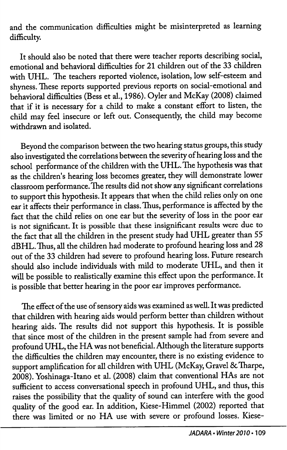and the communication difficulties might be misinterpreted as learning difficulty.

It should also be noted that there were teacher reports describing social, emotional and behavioral difficulties for 21 children out of the 33 children with UHL. The teachers reported violence, isolation, low self-esteem and shyness. These reports supported previous reports on social-emotional and behavioral difficulties (Bess et al., 1986). Oyler and McKay (2008) claimed that if it is necessary for a child to make a constant effort to listen, the child may feel insecure or left out. Consequendy, the child may become withdrawn and isolated.

Beyond the comparison between the two hearing status groups, this study also investigated the correlations between the severity of hearing loss and the school performance of the children with the UHL. The hypothesis was that as the children's hearing loss becomes greater, they will demonstrate lower classroom performance. The results did not show any significant correlations to support this hypothesis. It appears that when the child relies only on one ear it affects their performance in class. Thus, performance is affected by the fact that the child relies on one ear but the severity of loss in the poor ear is not significant. It is possible that these insignificant results were due to the fact that all the children in the present study had UHL greater than 55 dBHL.Thus, all the children had moderate to profound hearing loss and 28 out of the 33 children had severe to profound hearing loss. Future research should also include individuals with mild to moderate UHL, and then it will be possible to realistically examine this effect upon the performance. It is possible that better hearing in the poor ear improves performance.

The effect of the use of sensory aids was examined as well. It was predicted that children with hearing aids would perform better than children without hearing aids. The results did not support this hypothesis. It is possible that since most of the children in the present sample had from severe and profound UHL, the HA was not beneficial. Although the literature supports the difficulties the children may encounter, there is no existing evidence to support amplification for all children with UHL (McKay, Gravel & Tharpe, 2008). Yoshinaga-Itano et al. (2008) claim that conventional HAs are not sufficient to access conversational speech in profound UHL, and thus, this raises the possibility that the quality of sound can interfere with the good quality of the good ear. In addition, Kiese-Himmel (2002) reported that there was limited or no HA use with severe or profound losses. Kiese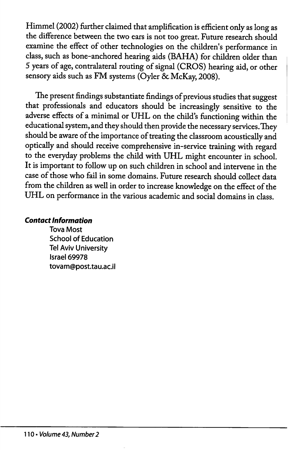Himmel (2002) further claimed that amplification is efficient only as long as the difference between the two ears is not too great. Future research should examine the effect of other technologies on the children's performance in class, such as bone-anchored hearing aids (BAHA) for children older than 5 years of age, contralateral routing of signal (CROS) hearing aid, or other sensory aids such as FM systems (Oyler & McKay, 2008).

The present findings substantiate findings of previous studies that suggest that professionals and educators should be increasingly sensitive to the adverse effects of a minimal or UHL on the child's functioning within the educational system, and they should then provide the necessary services.They should be aware of the importance of treating the classroom acoustically and optically and should receive comprehensive in-service training with regard to the everyday problems the child with UHL might encounter in school. It is important to follow up on such children in school and intervene in the case of those who fail in some domains. Future research should collect data from the children as well in order to increase knowledge on the effect of the UHL on performance in the various academic and social domains in class.

#### Contact Information

Tova Most School of Education Tel Aviv University Israel 69978 tovam@post.tau.ac.il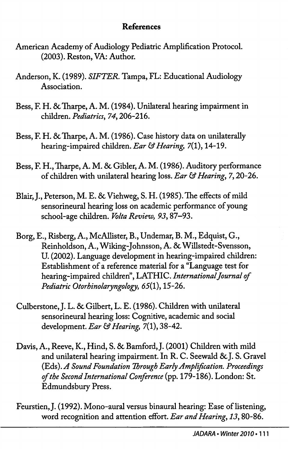### References

- American Academy of Audiology Pediatric Amplification Protocol. (2003). Reston, VA: Author.
- Anderson, K. (1989). SIFTER. Tampa, FL: Educational Audiology Association.
- Bess, F. H. & Tharpe, A. M. (1984). Unilateral hearing impairment in children. Pediatrics, 74, 206-216.
- Bess, F. H. & Tharpe, A. M. (1986). Case history data on unilaterally hearing-impaired children. Ear & Hearing, 7(1), 14-19.
- Bess, F. H.,'Iharpe, A. M. & Gibler, A. M. (1986). Auditory performance of children with unilateral hearing loss. Ear & Hearing, 7, 20-26.
- Blair, J., Peterson, M. E. 8c Viehweg, S. H. (1985). The effects of mild sensorineural hearing loss on academic performance of young school-age children. Volta Review, 93,87-93.
- Borg, E., Risberg, A., McAllister, B., Undemar, B. M., Edquist, G., Reinholdson, A., Wiking-Johnsson, A. 8c Willstedt-Svensson, U. (2002). Language development in hearing-impaired children: Establishment of a reference material for a "Language test for hearing-impaired children", LATHIC. International Journal of Pediatric Otorhinolaryngology, 65(1), 15-26.
- Culberstone, J. L. 8c Gilbert, L. E. (1986). Children with unilateral sensorineural hearing loss: Cognitive, academic and social development. Ear & Hearing, 7(1), 38-42.
- Davis, A., Reeve, K., Hind, S. 8c Bamford, J. (2001) Children with mild and unilateral hearing impairment. In R. C. Seewald & J. S. Gravel (Eds). A Sound Foundation Through Early Amplification. Proceedings of the Second International Conference (pp. 179-186). London: St. Edmundsbury Press.
- Feurstien, J. (1992). Mono-aural versus binaural hearing: Ease of listening, word recognition and attention effort. Ear and Hearing, 13,80-86.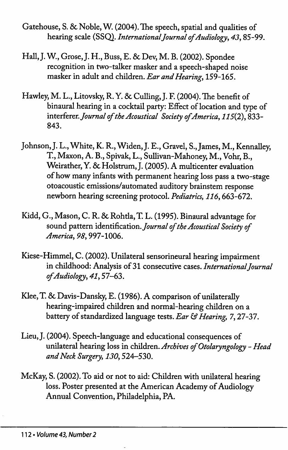- Gatehouse, S. & Noble, W. (2004). The speech, spatial and qualities of hearing scale (SSQ). International Journal of Audiology, 43,85-99.
- Hall, J. W., Grose, J. H., Buss, E. & Dev, M. B. (2002). Spondee recognition in two-talker masker and a speech-shaped noise masker in adult and children. Ear and Hearing, 159-165.
- Hawley, M. L., Litovsky, R. Y. & Culling, J. F. (2004). The benefit of binaural hearing in a cocktail party: Effect of location and type of interferer. Journal of the Acoustical Society of America, 115(2), 833-843.
- Johnson, J. L., White, K. R., Widen, J. E., Gravel, S., James, M., Kennalley, T., Maxon, A. B., Spivak, L., SuUivan-Mahoney, M., Vohr, B., Weirather, Y. & Holstrum, J. (2005). A multicenter evaluation of how many infants with permanent hearing loss pass a two-stage otoacoustic emissions/automated auditory brainstem response newborn hearing screening protocol. Pediatrics, 116,663-672.
- Kidd, G., Mason, C. R. & Rohtla, T. L. (1995). Binaural advantage for sound pattern identification. Journal of the Acoustical Society of America, 98,997-1006.
- Kiese-Himmel, C. (2002). Unilateral sensorineural hearing impairment in childhood: Analysis of 31 consecutive cases. International Journal ofAudiology, 41,57-63.
- Klee, T. & Davis-Dansky, E. (1986). A comparison of unilaterally hearing-impaired children and normal-hearing children on a battery of standardized language tests. Ear & Hearing, 7, 27-37.
- Lieu, J. (2004). Speech-language and educational consequences of unilateral hearing loss in children. Archives of Otolaryngology - Head and Neck Surgery, 130,524-530.
- McKay, S. (2002). To aid or not to aid: Children with unilateral hearing loss. Poster presented at the American Academy of Audiology Annual Convention, Philadelphia, PA.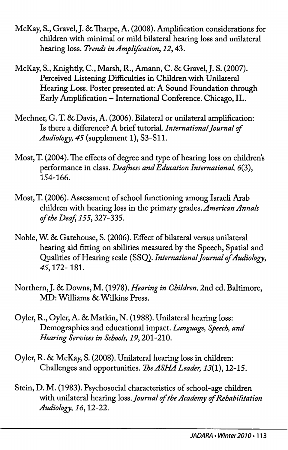- McKay, S., Gravel, J. & Tharpe, A. (2008). Amplification considerations for children with minimal or mild bilateral hearing loss and unilateral hearing loss. Trends in Amplification, 12, 43.
- McKay, S., Knightly, C., Marsh, R., Amann, C. & Gravel, J. S. (2007). Perceived Listening Difficulties in Children with Unilateral Hearing Loss. Poster presented at: A Sound Foundation through Early Amplification - International Conference. Chicago, IL.
- Mechner, G. T. & Davis, A. (2006). Bilateral or unilateral amplification: Is there a difference? A brief tutorial. International Journal of Audiology, 45 (supplement 1), S3-S11.
- Most, T. (2004). The effects of degree and type of hearing loss on children's performance in class. Deafness and Education International, 6(3), 154-166.
- Most,T. (2006). Assessment of school functioning among Israeli Arab children with hearing loss in the primary grades. American Annals of the Deaf, 155,327-335.
- Noble, W. & Gatehouse, S. (2006). Effect of bilateral versus unilateral hearing aid fitting on abilities measured by the Speech, Spatial and Qualities of Hearing scale (SSQ). International Journal of Audiology, 45,172- 181.
- Northern, J. & Downs, M. (1978). Hearing in Children. 2nd ed. Baltimore, MD: Williams & Wilkins Press.
- Oyler, R., Oyler, A. & Matkin, N. (1988). Unilateral hearing loss: Demographics and educational impact. Language, Speech, and Hearing Services in Schools, 19,201-210.
- Oyler, R. & McKay, S. (2008). Unilateral hearing loss in children: Challenges and opportunities. The ASHA Leader, 13(1), 12-15.
- Stein, D. M. (1983). Psychosocial characteristics of school-age children with unilateral hearing loss. Journal of the Academy of Rehabilitation Audiology, 16,12-22.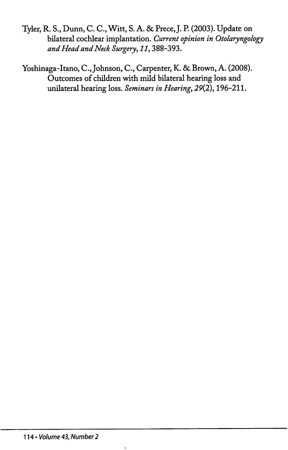- Tyler, R. S,, Dunn, C. C., Witt, S. A. 6c Prece, J. P. (2003). Update on bilateral cochlear implantation. Current opinion in Otolaryngology and Head and Neck Surgery, 11, 388-393.
- Yoshinaga-Itano, C., Johnson, C., Carpenter, K. 6c Brown, A. (2008). Outcomes of children with mild bilateral hearing loss and unilateral hearing loss. Seminars in Hearing, 29(2), 196-211.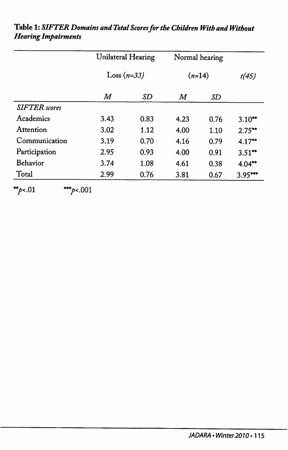|                      | Unilateral Hearing<br>Loss $(n=33)$ |      | Normal hearing<br>$(n=14)$ |      | t(45)     |
|----------------------|-------------------------------------|------|----------------------------|------|-----------|
|                      |                                     |      |                            |      |           |
|                      | M                                   | SD   | M                          | SD   |           |
| <b>SIFTER</b> scores |                                     |      |                            |      |           |
| Academics            | 3.43                                | 0.83 | 4.23                       | 0.76 | $3.10**$  |
| Attention            | 3.02                                | 1.12 | 4.00                       | 1.10 | $2.75***$ |
| Communication        | 3.19                                | 0.70 | 4.16                       | 0.79 | $4.17**$  |
| Participation        | 2.95                                | 0.93 | 4.00                       | 0.91 | $3.51**$  |
| Behavior             | 3.74                                | 1.08 | 4.61                       | 0.38 | $4.04**$  |
| Total                | 2.99                                | 0.76 | 3.81                       | 0.67 | 3.95***   |

## Table 1: SIFTER Domains and Total Scores for the Children With and Without Hearing Impairments

\*\*p<.01 \*\*\*p<.001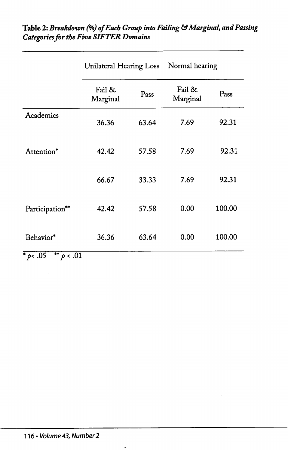|                                       | <b>Unilateral Hearing Loss</b> |       | Normal hearing     |        |
|---------------------------------------|--------------------------------|-------|--------------------|--------|
|                                       | Fail &<br>Marginal             | Pass  | Fail &<br>Marginal | Pass   |
| Academics                             | 36.36                          | 63.64 | 7.69               | 92.31  |
| Attention*                            | 42.42                          | 57.58 | 7.69               | 92.31  |
|                                       | 66.67                          | 33.33 | 7.69               | 92.31  |
| Participation**                       | 42.42                          | 57.58 | 0.00               | 100.00 |
| Behavior*                             | 36.36                          | 63.64 | 0.00               | 100.00 |
| ** $p < .01$<br>$\overline{p}$ + 0.05 |                                |       |                    |        |

#### Table 2: Breakdown (%) of Each Group into Failing & Marginal, and Passing Categories for the Five SIFTER Domains

 $\mathcal{L}(\mathcal{L}^{\text{max}})$  and  $\mathcal{L}^{\text{max}}$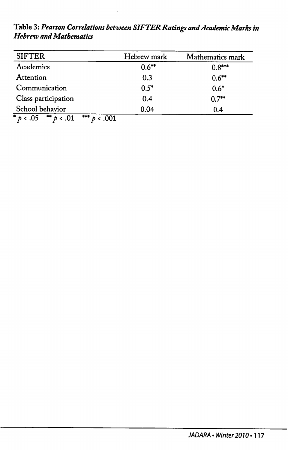|          | Mathematics mark |
|----------|------------------|
| $0.6***$ | $0.8***$         |
| 0.3      | $0.6***$         |
| $0.5*$   | $0.6*$           |
| 0.4      | $0.7***$         |
| 0.04     | 0.4              |
|          |                  |

Table 3: Pearson Correlations between SIFTER Ratings and Academic Marks in Hebrew and Mathematics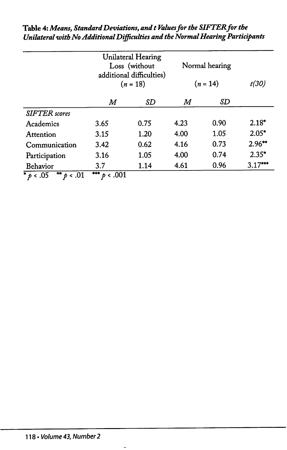|                                                | Unilateral Hearing<br>Loss (without<br>additional difficulties)<br>$(n = 18)$ |           | Normal hearing<br>$(n = 14)$ |      | t(30)     |
|------------------------------------------------|-------------------------------------------------------------------------------|-----------|------------------------------|------|-----------|
|                                                | M                                                                             | <b>SD</b> | $\boldsymbol{M}$             | SD   |           |
| <b>SIFTER</b> scores                           |                                                                               |           |                              |      |           |
| Academics                                      | 3.65                                                                          | 0.75      | 4.23                         | 0.90 | $2.18*$   |
| Attention                                      | 3.15                                                                          | 1.20      | 4.00                         | 1.05 | $2.05*$   |
| Communication                                  | 3.42                                                                          | 0.62      | 4.16                         | 0.73 | $2.96**$  |
| Participation                                  | 3.16                                                                          | 1.05      | 4.00                         | 0.74 | $2.35*$   |
| Behavior                                       | 3.7                                                                           | 1.14      | 4.61                         | 0.96 | $3.17***$ |
| $\frac{1}{2}$ + 01<br>$\frac{1}{\ast} p$ < .05 | ***<br>$\cdot .001$<br>D                                                      |           |                              |      |           |

Table 4: Means, Standard Deviations, and t Values for the SIFTER for the Unilateral with No Additional Difficulties and the Normal Hearing Participants

 $\overline{a}$